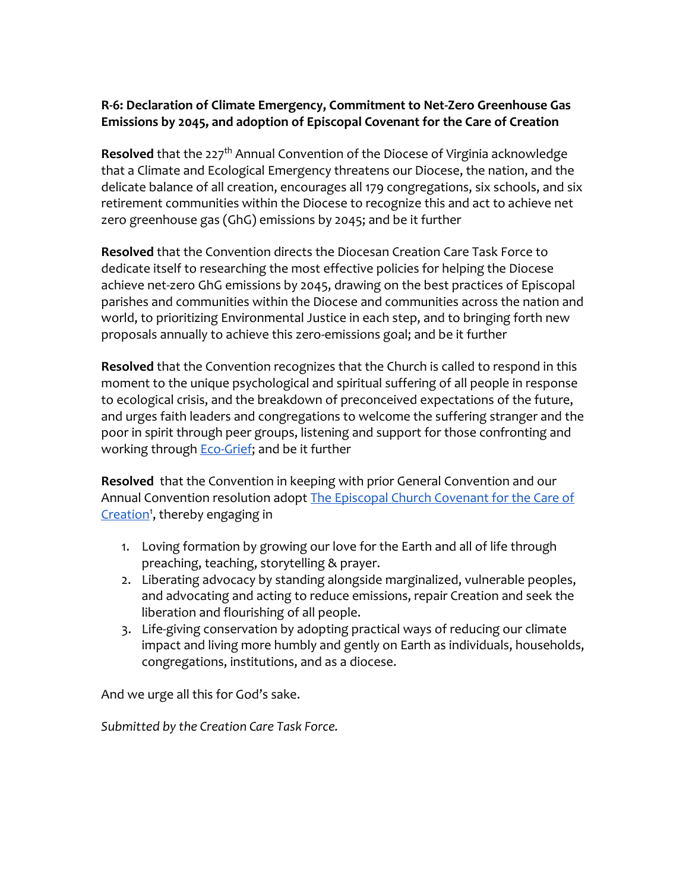## **R-6: Declaration of Climate Emergency, Commitment to Net-Zero Greenhouse Gas Emissions by 2045, and adoption of Episcopal Covenant for the Care of Creation**

**Resolved** that the 227<sup>th</sup> Annual Convention of the Diocese of Virginia acknowledge that a Climate and Ecological Emergency threatens our Diocese, the nation, and the delicate balance of all creation, encourages all 179 congregations, six schools, and six retirement communities within the Diocese to recognize this and act to achieve net zero greenhouse gas (GhG) emissions by 2045; and be it further

**Resolved** that the Convention directs the Diocesan Creation Care Task Force to dedicate itself to researching the most effective policies for helping the Diocese achieve net-zero GhG emissions by 2045, drawing on the best practices of Episcopal parishes and communities within the Diocese and communities across the nation and world, to prioritizing Environmental Justice in each step, and to bringing forth new proposals annually to achieve this zero-emissions goal; and be it further

**Resolved** that the Convention recognizes that the Church is called to respond in this moment to the unique psychological and spiritual suffering of all people in response to ecological crisis, and the breakdown of preconceived expectations of the future, and urges faith leaders and congregations to welcome the suffering stranger and the poor in spirit through peer groups, listening and support for those confronting and working through **Eco-Grief**; and be it further

**Resolved** that the Convention in keeping with prior General Convention and our Annual Convention resolution adopt The Episcopal Church Covenant for the Care of [Creation](https://www.episcopalchurch.org/ministries/creation-care/)<sup>1</sup>, thereby engaging in

- 1. Loving formation by growing our love for the Earth and all of life through preaching, teaching, storytelling & prayer.
- 2. Liberating advocacy by standing alongside marginalized, vulnerable peoples, and advocating and acting to reduce emissions, repair Creation and seek the liberation and flourishing of all people.
- 3. Life-giving conservation by adopting practical ways of reducing our climate impact and living more humbly and gently on Earth as individuals, households, congregations, institutions, and as a diocese.

And we urge all this for God's sake.

*Submitted by the Creation Care Task Force.*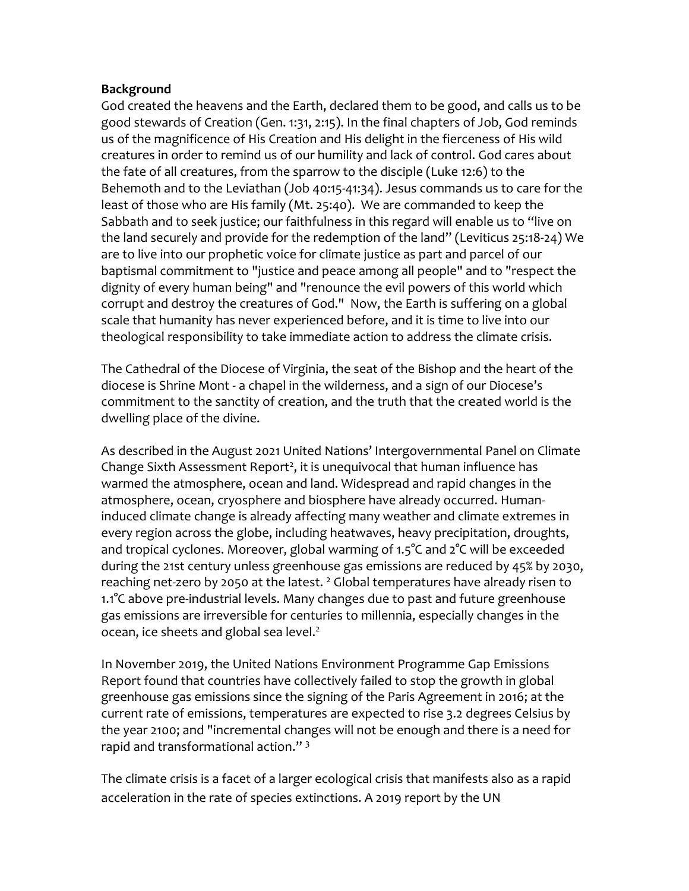## **Background**

God created the heavens and the Earth, declared them to be good, and calls us to be good stewards of Creation (Gen. 1:31, 2:15). In the final chapters of Job, God reminds us of the magnificence of His Creation and His delight in the fierceness of His wild creatures in order to remind us of our humility and lack of control. God cares about the fate of all creatures, from the sparrow to the disciple (Luke 12:6) to the Behemoth and to the Leviathan (Job 40:15-41:34). Jesus commands us to care for the least of those who are His family (Mt. 25:40). We are commanded to keep the Sabbath and to seek justice; our faithfulness in this regard will enable us to "live on the land securely and provide for the redemption of the land" (Leviticus 25:18-24) We are to live into our prophetic voice for climate justice as part and parcel of our baptismal commitment to "justice and peace among all people" and to "respect the dignity of every human being" and "renounce the evil powers of this world which corrupt and destroy the creatures of God." Now, the Earth is suffering on a global scale that humanity has never experienced before, and it is time to live into our theological responsibility to take immediate action to address the climate crisis.

The Cathedral of the Diocese of Virginia, the seat of the Bishop and the heart of the diocese is Shrine Mont - a chapel in the wilderness, and a sign of our Diocese's commitment to the sanctity of creation, and the truth that the created world is the dwelling place of the divine.

As described in the August 2021 United Nations' Intergovernmental Panel on Climate Change Sixth Assessment Report<sup>2</sup>, it is unequivocal that human influence has warmed the atmosphere, ocean and land. Widespread and rapid changes in the atmosphere, ocean, cryosphere and biosphere have already occurred. Humaninduced climate change is already affecting many weather and climate extremes in every region across the globe, including heatwaves, heavy precipitation, droughts, and tropical cyclones. Moreover, global warming of 1.5°C and 2°C will be exceeded during the 21st century unless greenhouse gas emissions are reduced by 45% by 2030, reaching net-zero by 2050 at the latest.  $^2$  Global temperatures have already risen to 1.1°C above pre-industrial levels. Many changes due to past and future greenhouse gas emissions are irreversible for centuries to millennia, especially changes in the ocean, ice sheets and global sea level.<sup>2</sup>

In November 2019, the United Nations Environment Programme Gap Emissions Report found that countries have collectively failed to stop the growth in global greenhouse gas emissions since the signing of the Paris Agreement in 2016; at the current rate of emissions, temperatures are expected to rise 3.2 degrees Celsius by the year 2100; and "incremental changes will not be enough and there is a need for rapid and transformational action." <sup>3</sup>

The climate crisis is a facet of a larger ecological crisis that manifests also as a rapid acceleration in the rate of species extinctions. A 2019 report by the UN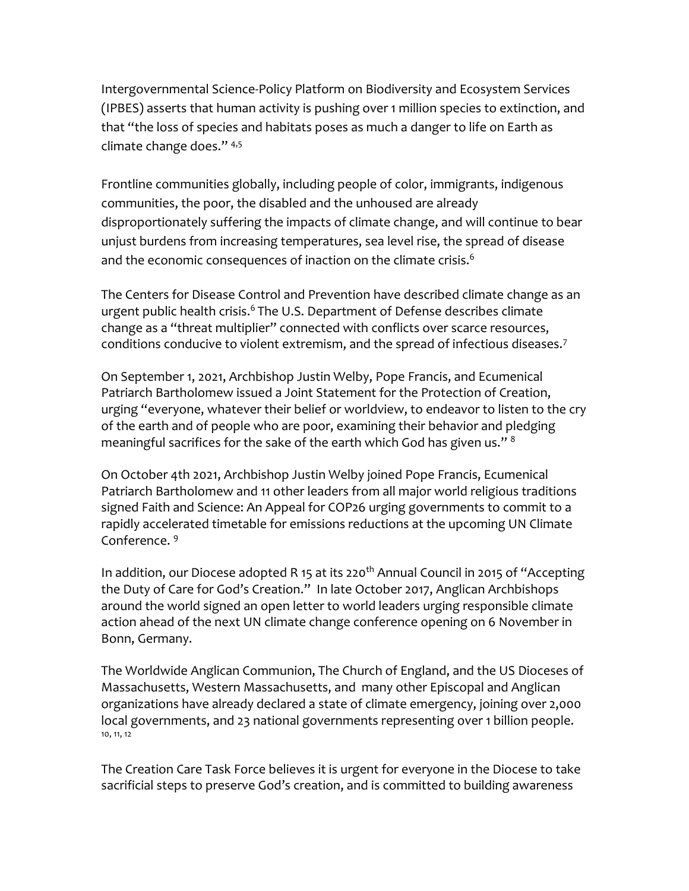Intergovernmental Science-Policy Platform on Biodiversity and Ecosystem Services (IPBES) asserts that human activity is pushing over 1 million species to extinction, and that "the [loss of species and habitats](https://www.nature.com/articles/d41586-018-03891-1) poses as much a danger to life on Earth as climate change does." 4,5

Frontline communities globally, including people of color, immigrants, indigenous communities, the poor, the disabled and the unhoused are already disproportionately suffering the impacts of climate change, and will continue to bear unjust burdens from increasing temperatures, sea level rise, the spread of disease and the economic consequences of inaction on the climate crisis.<sup>6</sup>

The Centers for Disease Control and Prevention have described climate change as an urgent public health crisis.<sup>6</sup> The U.S. Department of Defense describes climate change as a "threat multiplier" connected with conflicts over scarce resources, conditions conducive to violent extremism, and the spread of infectious diseases.<sup>7</sup>

On September 1, 2021, Archbishop Justin Welby, Pope Francis, and Ecumenical Patriarch Bartholomew issued a Joint Statement for the Protection of Creation, urging "everyone, whatever their belief or worldview, to endeavor to listen to the cry of the earth and of people who are poor, examining their behavior and pledging meaningful sacrifices for the sake of the earth which God has given us." <sup>8</sup>

On October 4th 2021, Archbishop Justin Welby joined Pope Francis, Ecumenical Patriarch Bartholomew and 11 other leaders from all major world religious traditions signed Faith and Science: An Appeal for COP26 urging governments to commit to a rapidly accelerated timetable for emissions reductions at the upcoming UN Climate Conference.<sup>9</sup>

In addition, our Diocese adopted R 15 at its 220<sup>th</sup> Annual Council in 2015 of "Accepting the Duty of Care for God's Creation." In late October 2017, Anglican Archbishops around the world signed an open letter to world leaders urging responsible climate action ahead of the next UN climate change conference opening on 6 November in Bonn, Germany.

The Worldwide Anglican Communion, The Church of England, and the US Dioceses of Massachusetts, Western Massachusetts, and many other Episcopal and Anglican organizations have already declared a state of climate emergency, joining over 2,000 local governments, and 23 national governments representing over 1 billion people. 10, 11, 12

The Creation Care Task Force believes it is urgent for everyone in the Diocese to take sacrificial steps to preserve God's creation, and is committed to building awareness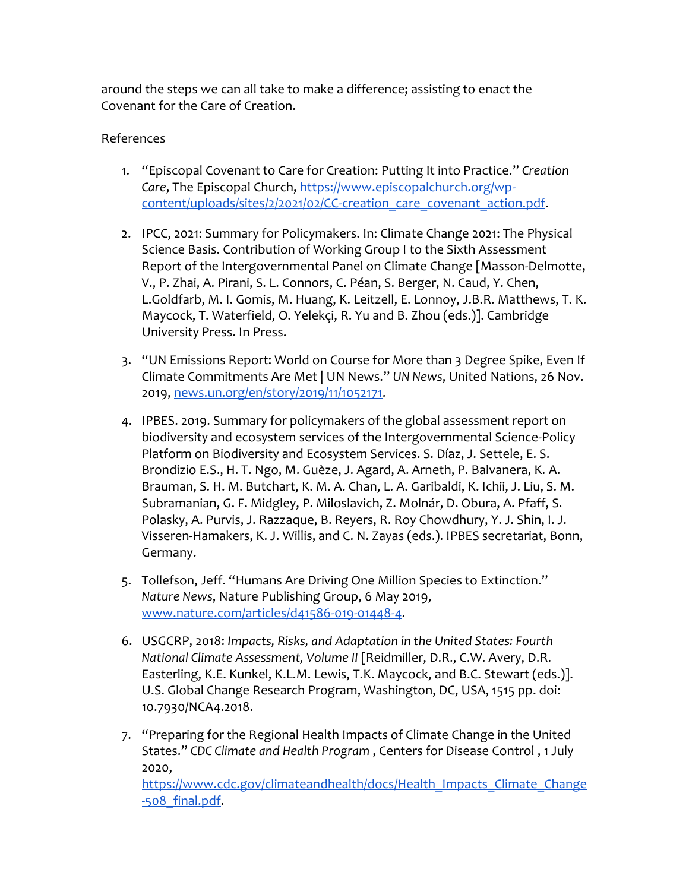around the steps we can all take to make a difference; assisting to enact the Covenant for the Care of Creation.

## References

- 1. "Episcopal Covenant to Care for Creation: Putting It into Practice." *Creation Care*, The Episcopal Church, [https://www.episcopalchurch.org/wp](https://www.episcopalchurch.org/wp-content/uploads/sites/2/2021/02/CC-creation_care_covenant_action.pdf)[content/uploads/sites/2/2021/02/CC-creation\\_care\\_covenant\\_action.pdf.](https://www.episcopalchurch.org/wp-content/uploads/sites/2/2021/02/CC-creation_care_covenant_action.pdf)
- 2. IPCC, 2021: Summary for Policymakers. In: Climate Change 2021: The Physical Science Basis. Contribution of Working Group I to the Sixth Assessment Report of the Intergovernmental Panel on Climate Change [Masson-Delmotte, V., P. Zhai, A. Pirani, S. L. Connors, C. Péan, S. Berger, N. Caud, Y. Chen, L.Goldfarb, M. I. Gomis, M. Huang, K. Leitzell, E. Lonnoy, J.B.R. Matthews, T. K. Maycock, T. Waterfield, O. Yelekçi, R. Yu and B. Zhou (eds.)]. Cambridge University Press. In Press.
- 3. "UN Emissions Report: World on Course for More than 3 Degree Spike, Even If Climate Commitments Are Met | UN News." *UN News*, United Nations, 26 Nov. 2019, [news.un.org/en/story/2019/11/1052171.](https://docs.google.com/document/u/0/d/1bZMEkAeWQmwADt6rJH3XXOLpLiTZLZbRgJ-3opWsIas/edit)
- 4. IPBES. 2019. Summary for policymakers of the global assessment report on biodiversity and ecosystem services of the Intergovernmental Science-Policy Platform on Biodiversity and Ecosystem Services. S. Díaz, J. Settele, E. S. Brondizio E.S., H. T. Ngo, M. Guèze, J. Agard, A. Arneth, P. Balvanera, K. A. Brauman, S. H. M. Butchart, K. M. A. Chan, L. A. Garibaldi, K. Ichii, J. Liu, S. M. Subramanian, G. F. Midgley, P. Miloslavich, Z. Molnár, D. Obura, A. Pfaff, S. Polasky, A. Purvis, J. Razzaque, B. Reyers, R. Roy Chowdhury, Y. J. Shin, I. J. Visseren-Hamakers, K. J. Willis, and C. N. Zayas (eds.). IPBES secretariat, Bonn, Germany.
- 5. Tollefson, Jeff. "Humans Are Driving One Million Species to Extinction." *Nature News*, Nature Publishing Group, 6 May 2019, [www.nature.com/articles/d41586-019-01448-4.](http://www.nature.com/articles/d41586-019-01448-4)
- 6. USGCRP, 2018: *Impacts, Risks, and Adaptation in the United States: Fourth National Climate Assessment, Volume II* [Reidmiller, D.R., C.W. Avery, D.R. Easterling, K.E. Kunkel, K.L.M. Lewis, T.K. Maycock, and B.C. Stewart (eds.)]. U.S. Global Change Research Program, Washington, DC, USA, 1515 pp. doi: 10.7930/NCA4.2018.
- 7. "Preparing for the Regional Health Impacts of Climate Change in the United States." *CDC Climate and Health Program* , Centers for Disease Control , 1 July 2020,

[https://www.cdc.gov/climateandhealth/docs/Health\\_Impacts\\_Climate\\_Change](https://www.cdc.gov/climateandhealth/docs/Health_Impacts_Climate_Change-508_final.pdf) [-508\\_final.pdf.](https://www.cdc.gov/climateandhealth/docs/Health_Impacts_Climate_Change-508_final.pdf)